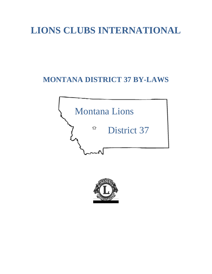# **LIONS CLUBS INTERNATIONAL**

## **MONTANA DISTRICT 37 BY-LAWS**



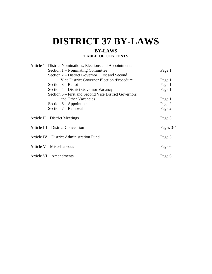# **DISTRICT 37 BY-LAWS**

### **BY-LAWS TABLE OF CONTENTS**

|                                           | Article 1 District Nominations, Elections and Appointments |           |
|-------------------------------------------|------------------------------------------------------------|-----------|
|                                           | Section 1 – Nominating Committee                           | Page 1    |
|                                           | Section 2 – District Governor, First and Second            |           |
|                                           | <b>Vice District Governor Election: Procedure</b>          | Page 1    |
|                                           | Section $3 -$ Ballot                                       | Page 1    |
|                                           | Section 4 – District Governor Vacancy                      | Page 1    |
|                                           | Section 5 – First and Second Vice District Governors       |           |
|                                           | and Other Vacancies                                        | Page 1    |
|                                           | Section $6 -$ Appointment                                  | Page 2    |
|                                           | Section 7 – Removal                                        | Page 2    |
| Article $II$ – District Meetings          |                                                            | Page 3    |
| Article III – District Convention         |                                                            | Pages 3-4 |
| Article IV – District Administration Fund |                                                            | Page 5    |
| Article $V$ – Miscellaneous               |                                                            | Page 6    |
| Article VI – Amendments                   |                                                            | Page 6    |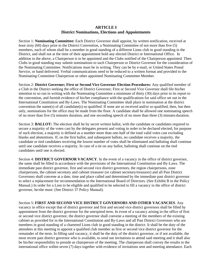#### **ARTICLE I District Nominations, Elections and Appointments**

Section 1: **Nominating Committee:** Each District Governor shall appoint, by written notification, received at least sixty (60) days prior to the District Convention, a Nominating Committee of not more than five (5) members, each of whom shall be a member in good standing of a different Lions club in good standing in the District, and shall not at the time of their appointment hold any elected District or International Office. In addition to the above, a Chairperson is to be appointed and the Clubs notified of the Chairperson appointed. Then Clubs in good standing may submit nominations to such Chairperson or District Governor for the consideration of the Nominating Committee. Notifications must be in writing. They can be by e-mail, or United States Postal Service, or hand delivered. Verbal communications need to be reduced to a written format and provided to the Nominating Committee Chairperson or other appointed Nominating Committee Member.

Section 2: **District Governor; First or Second Vice Governor Election Procedures:** Any qualified member of a Club in the District seeking the office of District Governor; First or Second Vice Governor shall file his/her intention to so run in writing with the Nominating Committee a minimum of thirty (30) days prior to its report to the convention, and furnish evidence of his/her compliance with the qualifications for said office set out in the International Constitution and By-Laws. The Nominating Committee shall place in nomination at the district convention the name(s) of all candidate(s) so qualified. If none are so received and/or so qualified, then, but then only, nominations for the office may be made from the floor. A candidate shall be allowed one nominating speech of no more than five (5) minutes duration, and one seconding speech of no more than three (3) minutes duration.

Section 3: **BALLOT:** The election shall be by secret written ballot, with the candidate or candidates required to secure a majority of the votes cast by the delegates present and voting in order to be declared elected; for purpose of such election, a majority is defined as a number more than one-half of the total valid votes cast excluding blanks and abstentions. If, on the first ballot, and subsequent ballots, no candidate receives a majority, the candidate or tied candidates receiving the lowest number of votes shall be eliminated and balloting shall continue until one candidate receives a majority. In case of a tie on any ballot, balloting shall continue on the tied candidates until one is elected.

Section 4: **DISTRICT GOVERNOR VACANCY**. In the event of a vacancy in the office of district governor, the same shall be filled in accordance with the provisions of the International Constitution and By-Laws. The immediate past district governor, first and second vice district governors, the region chairpersons, zone chairpersons, the cabinet secretary and cabinet treasurer (or cabinet secretary/treasurer) and all Past District Governors shall convene at a date, time and place called and determined by the immediate past district governor to select a replacement for recommendation to the International Board of Directors. (See Exhibit B in the Policy Manual.) In order for a Lion to be eligible and qualified to be selected to fill a vacancy in the office of district governor, he/she must: (See District 37 Policy Manual).

Section 5: **FIRST AND SECOND VICE DISTRICT GOVERNORS AND OTHER VACANCIES**. Any vacancy in office except that of district governor and first and second vice district governors shall be filled by appointment from the district governor for the unexpired term. In event of a vacancy arising in the office of first or second vice district governor, the district governor shall convene a meeting of the members of the existing cabinet as provided for in the International Constitution and By-Laws and all Past District Governors who are members in good standing of a chartered Lions club in good standing in the district. It shall be the duty of the attendees at this meeting to appoint a qualified club member as first or second vice district governor for the remainder of the term. In filling said vacancy, it shall be the duty of the district governor, or if not available, the most recent past district governor who is available, to send out invitations to attend said meeting and it shall also be his/her responsibility to preside as chairperson of the meeting. The chairperson shall convey the results to the international office within seven (7) days together with evidence of invitations sent and meeting attendance. Each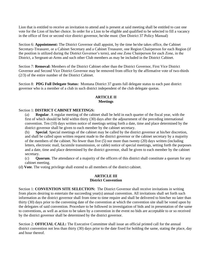Lion that is entitled to receive an invitation to attend and is present at said meeting shall be entitled to cast one vote for the Lion of his/her choice. In order for a Lion to be eligible and qualified to be selected to fill a vacancy in the office of first or second vice district governor, he/she must: (See District 37 Policy Manual)

Section 6: **Appointment:** The District Governor shall appoint, by the time he/she takes office, the Cabinet Secretary-Treasurer, or a Cabinet Secretary and a Cabinet Treasurer, one Region Chairperson for each Region (if the position is utilized during the District Governor's term), and one Zone Chairperson for each Zone, in the District, a Sergeant-at-Arms and such other Club members as may be included in the District Cabinet.

Section 7: **Removal:** Members of the District Cabinet other than the District Governor, First Vice District Governor and Second Vice District Governor may be removed from office by the affirmative vote of two-thirds (2/3) of the entire number of the District Cabinet.

Section 8: **PDG Full Delegate Status:** Montana District 37 grants full delegate status to each past district governor who is a member of a club in such district independent of the club delegate quotas.

#### **ARTICLE II Meetings**

#### Section 1: **DISTRICT CABINET MEETINGS:**

(a) **Regular**. A regular meeting of the cabinet shall be held in each quarter of the fiscal year, with the first of which should be held within thirty (30) days after the adjournment of the preceding international convention. Ten (10) days written notice of meetings setting forth a date, time and place determined by the district governor shall be given to each member by the cabinet secretary.

(b) **Special**. Special meetings of the cabinet may be called by the district governor at his/her discretion, and shall be called upon written request made to the district governor or the cabinet secretary by a majority of the members of the cabinet. No fewer than five (5) nor more than twenty (20) days written (including letters, electronic mail, facsimile transmission, or cable) notice of special meetings, setting forth the purposes and a date, time and place determined by the district governor, shall be given to each member by the cabinet secretary.

(c) **Quorum**. The attendance of a majority of the officers of this district shall constitute a quorum for any cabinet meeting.

(d) **Vote**. The voting privilege shall extend to all members of the district cabinet.

#### **ARTICLE III District Convention**

Section 1: **CONVENTION SITE SELECTION:** The District Governor shall receive invitations in writing from places desiring to entertain the succeeding year(s) annual convention. All invitations shall set forth such information as the district governor shall from time to time require and shall be delivered to him/her no later than thirty (30) days prior to the convening date of the convention at which the convention site shall be voted upon by the delegates of said convention. Procedure to be followed in investigation of bids and in presentation of the same to conventions, as well as action to be taken by a convention in the event no bids are acceptable to or so received by the district governor shall be determined by the district governor.

Section 2: **OFFICIAL CALL:** The Executive Committee shall issue an official printed call for the annual district convention not less than thirty (30) days prior to the date fixed for holding the same, stating the place, day and hour thereof.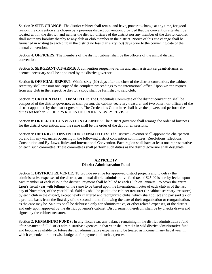Section 3: **SITE CHANGE:** The district cabinet shall retain, and have, power to change at any time, for good reason, the convention site chosen by a previous district convention, provided that the convention site shall be located within the district, and neither the district, officers of the district nor any member of the district cabinet, shall incur any liability thereby to any club or club member in the district. Notice of this site change shall be furnished in writing to each club in the district no less than sixty (60) days prior to the convening date of the annual convention.

Section 4: **OFFICERS:** The members of the district cabinet shall be the officers of the annual district convention.

Section 5: **SERGEANT-AT-ARMS:** A convention sergeant-at-arms and such assistant sergeant-at-arms as deemed necessary shall be appointed by the district governor.

Section 6: **OFFICIAL REPORT:** Within sixty (60) days after the close of the district convention, the cabinet secretary shall transmit one copy of the complete proceedings to the international office. Upon written request from any club in the respective district a copy shall be furnished to said club.

Section 7: **CREDENTIALS COMMITTEE:** The Credentials Committee of the district convention shall be composed of the district governor, as chairperson, the cabinet-secretary treasurer and two other non-officers of the district appointed by the district governor. The Credentials Committee shall have the powers and perform the duties set forth in ROBERT'S RULES OF ORDER, NEWLY REVISED.

Section 8: **ORDER OF CONVENTION BUSINESS:** The district governor shall arrange the order of business for the district convention, and the same shall be the order of the day for all sessions.

Section 9: **DISTRICT CONVENTION COMMITTEES:** The District Governor shall appoint the chairperson of, and fill any vacancies occurring in the following district convention committees: Resolutions, Elections, Constitution and By-Laws, Rules and International Convention. Each region shall have at least one representative on each such committee. These committees shall perform such duties as the district governor shall designate.

### **ARTICLE IV District Administration Fund**

Section 1: **DISTRICT REVENUE:** To provide revenue for approved district projects and to defray the administrative expenses of the district, an annual district administrative fund tax of \$25.00 is hereby levied upon each member of each club in the district. Payment shall be billed to each Club on January 1 to cover the entire Lion's fiscal year with billings of the same to be based upon the International roster of each club as of the last day of November, of the year billed. Said tax shall be paid to the cabinet treasurer (or cabinet secretary-treasurer) by each club in the district, except newly chartered and reorganized clubs, which shall collect and pay said tax on a pro-rata basis from the first day of the second month following the date of their organization or reorganization, as the case may be. Said tax shall be disbursed only for administrative, or other related expenses, of the district and only upon approval by the district governor's cabinet. Disbursement therefrom shall be by checks drawn and signed by the cabinet treasurer.

Section 2: **REMAINING FUNDS:** In any fiscal year, any balance remaining in the district administrative fund after payment of all district administrative expenses in that year shall remain in said district administrative fund and become available for future district administrative expenses and be treated as income in any fiscal year in which expended or otherwise budgeted for payment of such expenses.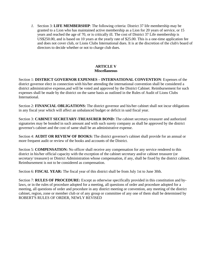*1.* Section 3: **LIFE MEMBERSHIP**: The following criteria: District 37 life membership may be granted to a Lion who has maintained active membership as a Lion for 20 years of service, or 15 years and reached the age of 70, or is critically ill. The cost of District 37 Life membership is US\$250.00, and is based on 10 years at the yearly rate of \$25.00. This is a one-time application fee and does not cover club, or Lions Clubs International dues. It is at the discretion of the club's board of directors to decide whether or not to charge club dues.

#### **ARTICLE V Miscellaneous**

Section 1: **DISTRICT GOVERNOR EXPENSES – INTERNATIONAL CONVENTION**: Expenses of the district governor elect in connection with his/her attending the international convention shall be considered a district administrative expense,and will be voted and approved by the District Cabinet. Reimbursement for such expenses shall be made by the district on the same basis as outlined in the Rules of Audit of Lions Clubs International.

Section 2: **FINANCIAL OBLIGATIONS:** The district governor and his/her cabinet shall not incur obligations in any fiscal year which will affect an unbalanced budget or deficit in said fiscal year.

Section 3: **CABINET SECRETARY-TREASURER BOND:** The cabinet secretary-treasurer and authorized signatories may be bonded in such amount and with such surety company as shall be approved by the district governor's cabinet and the cost of same shall be an administrative expense.

Section 4: **AUDIT OR REVIEW OF BOOKS:** The district governor's cabinet shall provide for an annual or more frequent audit or review of the books and accounts of the District.

Section 5: **COMPENSATION:** No officer shall receive any compensation for any service rendered to this district in his/her official capacity with the exception of the cabinet secretary and/or cabinet treasurer (or secretary/ treasurer) or District Administration whose compensation, if any, shall be fixed by the district cabinet. Reimbursement is not to be considered as compensation.

Section 6: **FISCAL YEAR:** The fiscal year of this district shall be from July 1st to June 30th.

Section 7: **RULES OF PROCEDURE:** Except as otherwise specifically provided in this constitution and bylaws, or in the rules of procedure adopted for a meeting, all questions of order and procedure adopted for a meeting, all questions of order and procedure in any district meeting or convention, any meeting of the district cabinet, region, zone or member club or of any group or committee of any one of them shall be determined by ROBERT'S RULES OF ORDER, NEWLY REVISED